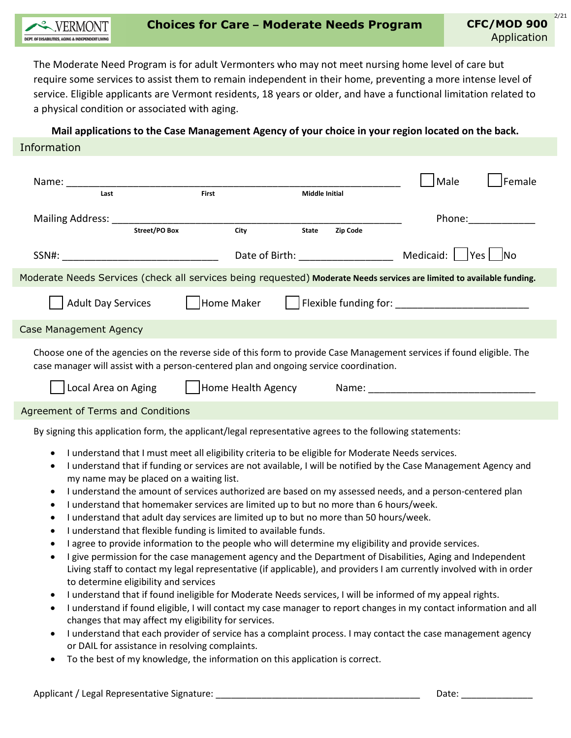

The Moderate Need Program is for adult Vermonters who may not meet nursing home level of care but require some services to assist them to remain independent in their home, preventing a more intense level of service. Eligible applicants are Vermont residents, 18 years or older, and have a functional limitation related to a physical condition or associated with aging.

**Mail applications to the Case Management Agency of your choice in your region located on the back.** Information

| Name:                                                                                                                                                                                                                                                                                                                                                                                                                                                                                                                                                                                                                                                                                                                                                                               |                      |      |                       |          | Male   | Female |
|-------------------------------------------------------------------------------------------------------------------------------------------------------------------------------------------------------------------------------------------------------------------------------------------------------------------------------------------------------------------------------------------------------------------------------------------------------------------------------------------------------------------------------------------------------------------------------------------------------------------------------------------------------------------------------------------------------------------------------------------------------------------------------------|----------------------|------|-----------------------|----------|--------|--------|
| Last                                                                                                                                                                                                                                                                                                                                                                                                                                                                                                                                                                                                                                                                                                                                                                                | First                |      | <b>Middle Initial</b> |          |        |        |
| Mailing Address:                                                                                                                                                                                                                                                                                                                                                                                                                                                                                                                                                                                                                                                                                                                                                                    | <b>Street/PO Box</b> | City | <b>State</b>          | Zip Code | Phone: |        |
|                                                                                                                                                                                                                                                                                                                                                                                                                                                                                                                                                                                                                                                                                                                                                                                     |                      |      |                       |          |        |        |
|                                                                                                                                                                                                                                                                                                                                                                                                                                                                                                                                                                                                                                                                                                                                                                                     |                      |      |                       |          |        |        |
| Moderate Needs Services (check all services being requested) Moderate Needs services are limited to available funding.                                                                                                                                                                                                                                                                                                                                                                                                                                                                                                                                                                                                                                                              |                      |      |                       |          |        |        |
| Home Maker<br><b>Adult Day Services</b>                                                                                                                                                                                                                                                                                                                                                                                                                                                                                                                                                                                                                                                                                                                                             |                      |      |                       |          |        |        |
| <b>Case Management Agency</b>                                                                                                                                                                                                                                                                                                                                                                                                                                                                                                                                                                                                                                                                                                                                                       |                      |      |                       |          |        |        |
| Choose one of the agencies on the reverse side of this form to provide Case Management services if found eligible. The<br>case manager will assist with a person-centered plan and ongoing service coordination.                                                                                                                                                                                                                                                                                                                                                                                                                                                                                                                                                                    |                      |      |                       |          |        |        |
|                                                                                                                                                                                                                                                                                                                                                                                                                                                                                                                                                                                                                                                                                                                                                                                     | Local Area on Aging  |      |                       |          |        |        |
| Agreement of Terms and Conditions                                                                                                                                                                                                                                                                                                                                                                                                                                                                                                                                                                                                                                                                                                                                                   |                      |      |                       |          |        |        |
| By signing this application form, the applicant/legal representative agrees to the following statements:                                                                                                                                                                                                                                                                                                                                                                                                                                                                                                                                                                                                                                                                            |                      |      |                       |          |        |        |
| I understand that I must meet all eligibility criteria to be eligible for Moderate Needs services.<br>$\bullet$<br>I understand that if funding or services are not available, I will be notified by the Case Management Agency and<br>my name may be placed on a waiting list.<br>I understand the amount of services authorized are based on my assessed needs, and a person-centered plan<br>$\bullet$<br>I understand that homemaker services are limited up to but no more than 6 hours/week.<br>٠<br>I understand that adult day services are limited up to but no more than 50 hours/week.<br>I understand that flexible funding is limited to available funds.<br>I agree to provide information to the people who will determine my eligibility and provide services.<br>٠ |                      |      |                       |          |        |        |

- I give permission for the case management agency and the Department of Disabilities, Aging and Independent Living staff to contact my legal representative (if applicable), and providers I am currently involved with in order to determine eligibility and services
- I understand that if found ineligible for Moderate Needs services, I will be informed of my appeal rights.
- I understand if found eligible, I will contact my case manager to report changes in my contact information and all changes that may affect my eligibility for services.
- I understand that each provider of service has a complaint process. I may contact the case management agency or DAIL for assistance in resolving complaints.
- To the best of my knowledge, the information on this application is correct.